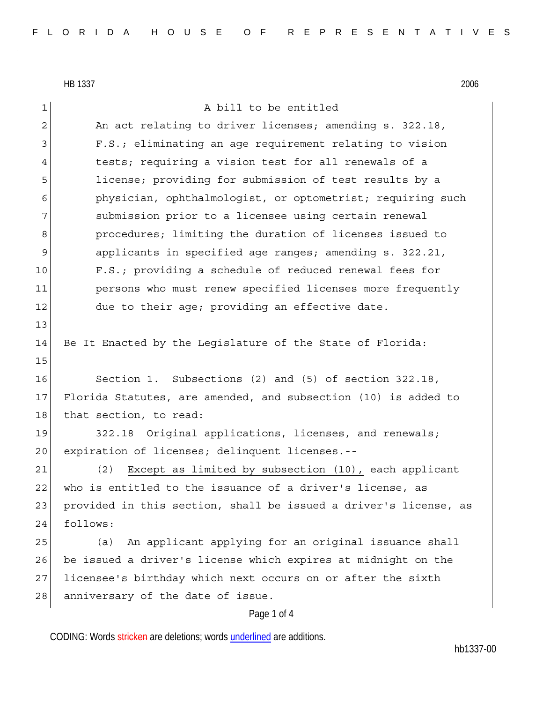HB 1337 2006

13

15

Page 1 of 4 1 a bill to be entitled 2 An act relating to driver licenses; amending s. 322.18, 3 F.S.; eliminating an age requirement relating to vision 4 tests; requiring a vision test for all renewals of a 5 license; providing for submission of test results by a 6 physician, ophthalmologist, or optometrist; requiring such 7 submission prior to a licensee using certain renewal 8 **procedures;** limiting the duration of licenses issued to 9 applicants in specified age ranges; amending s. 322.21, 10 F.S.; providing a schedule of reduced renewal fees for 11 persons who must renew specified licenses more frequently 12 due to their age; providing an effective date. 14 Be It Enacted by the Legislature of the State of Florida: 16 Section 1. Subsections (2) and (5) of section 322.18, 17 Florida Statutes, are amended, and subsection (10) is added to 18 that section, to read: 19 322.18 Original applications, licenses, and renewals; 20 expiration of licenses; delinquent licenses.--21 (2) Except as limited by subsection (10), each applicant 22 who is entitled to the issuance of a driver's license, as 23 provided in this section, shall be issued a driver's license, as 24 follows: 25 (a) An applicant applying for an original issuance shall 26 be issued a driver's license which expires at midnight on the 27 licensee's birthday which next occurs on or after the sixth 28 anniversary of the date of issue.

CODING: Words stricken are deletions; words underlined are additions.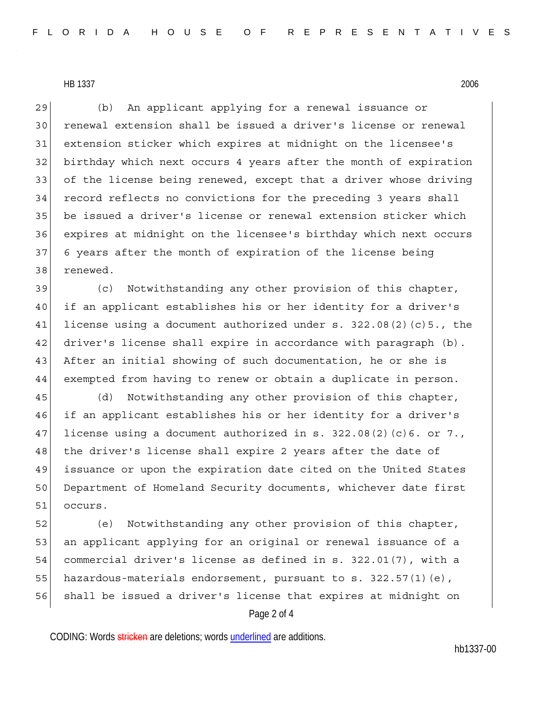HB 1337 2006

29 (b) An applicant applying for a renewal issuance or 30 renewal extension shall be issued a driver's license or renewal 31 extension sticker which expires at midnight on the licensee's 32 birthday which next occurs 4 years after the month of expiration 33 of the license being renewed, except that a driver whose driving 34 record reflects no convictions for the preceding 3 years shall 35 be issued a driver's license or renewal extension sticker which 36 expires at midnight on the licensee's birthday which next occurs 37 6 years after the month of expiration of the license being 38 renewed.

39 (c) Notwithstanding any other provision of this chapter, 40 if an applicant establishes his or her identity for a driver's 41 license using a document authorized under s. 322.08(2)(c)5., the 42 driver's license shall expire in accordance with paragraph (b). 43 After an initial showing of such documentation, he or she is 44 exempted from having to renew or obtain a duplicate in person.

45 (d) Notwithstanding any other provision of this chapter, 46 if an applicant establishes his or her identity for a driver's 47 license using a document authorized in s. 322.08(2)(c)6. or 7., 48 the driver's license shall expire 2 years after the date of 49 issuance or upon the expiration date cited on the United States 50 Department of Homeland Security documents, whichever date first 51 occurs.

52 (e) Notwithstanding any other provision of this chapter, 53 an applicant applying for an original or renewal issuance of a 54 commercial driver's license as defined in s. 322.01(7), with a 55 hazardous-materials endorsement, pursuant to s. 322.57(1)(e), 56 shall be issued a driver's license that expires at midnight on

## Page 2 of 4

CODING: Words stricken are deletions; words underlined are additions.

hb1337-00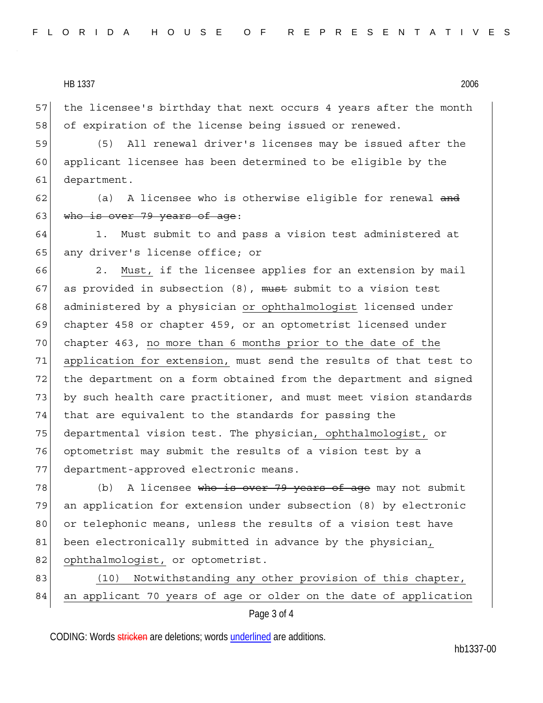| 2006 |
|------|
|      |

57 the licensee's birthday that next occurs 4 years after the month 58 of expiration of the license being issued or renewed.

59 (5) All renewal driver's licenses may be issued after the 60 applicant licensee has been determined to be eligible by the 61 department.

62 (a) A licensee who is otherwise eligible for renewal and 63 who is over 79 years of age:

64 1. Must submit to and pass a vision test administered at 65 any driver's license office; or

66 2. Must, if the licensee applies for an extension by mail 67 as provided in subsection  $(8)$ , must submit to a vision test 68 administered by a physician or ophthalmologist licensed under 69 chapter 458 or chapter 459, or an optometrist licensed under 70 chapter 463, no more than 6 months prior to the date of the 71 application for extension, must send the results of that test to 72 the department on a form obtained from the department and signed 73 by such health care practitioner, and must meet vision standards 74 that are equivalent to the standards for passing the 75 departmental vision test. The physician, ophthalmologist, or 76 optometrist may submit the results of a vision test by a 77 department-approved electronic means.

78 (b) A licensee who is over 79 years of age may not submit 79 an application for extension under subsection (8) by electronic 80 or telephonic means, unless the results of a vision test have 81 been electronically submitted in advance by the physician, 82 ophthalmologist, or optometrist.

83 (10) Notwithstanding any other provision of this chapter, 84 an applicant 70 years of age or older on the date of application

Page 3 of 4

CODING: Words stricken are deletions; words underlined are additions.